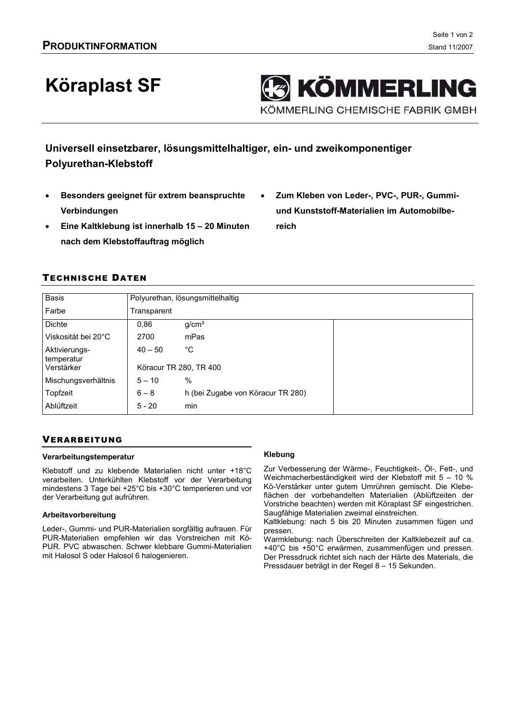# **Köraplast SF**

**KÖMMERLING** KÖMMERLING CHEMISCHE FABRIK GMBH

Universell einsetzbarer, lösungsmittelhaltiger, ein- und zweikomponentiger **Polyurethan-Klebstoff** 

- Besonders geeignet für extrem beanspruchte Verbindungen
- Eine Kaltklebung ist innerhalb 15 20 Minuten nach dem Klebstoffauftrag möglich
- Zum Kleben von Leder-, PVC-, PUR-, Gummiund Kunststoff-Materialien im Automobilbereich

# **TECHNISCHE DATEN**

| <b>Basis</b>                | Polyurethan, lösungsmittelhaltig |                                   |  |
|-----------------------------|----------------------------------|-----------------------------------|--|
| Farbe                       | Transparent                      |                                   |  |
| <b>Dichte</b>               | 0.86                             | g/cm <sup>3</sup>                 |  |
| Viskosität bei 20°C         | 2700                             | mPas                              |  |
| Aktivierungs-<br>temperatur | $40 - 50$                        | °C                                |  |
| Verstärker                  | Köracur TR 280, TR 400           |                                   |  |
| Mischungsverhältnis         | $5 - 10$                         | %                                 |  |
| Topfzeit                    | $6 - 8$                          | h (bei Zugabe von Köracur TR 280) |  |
| Ablüftzeit                  | $5 - 20$                         | min                               |  |

# **VERARBEITUNG**

### Verarbeitungstemperatur

Klebstoff und zu klebende Materialien nicht unter +18°C verarbeiten. Unterkühlten Klebstoff vor der Verarbeitung mindestens 3 Tage bei +25°C bis +30°C temperieren und vor der Verarbeitung gut aufrühren.

#### Arbeitsvorbereitung

Leder-, Gummi- und PUR-Materialien sorgfältig aufrauen. Für PUR-Materialien empfehlen wir das Vorstreichen mit Kö-PUR. PVC abwaschen. Schwer klebbare Gummi-Materialien mit Halosol S oder Halosol 6 halogenieren.

### **Klebung**

Zur Verbesserung der Wärme-, Feuchtigkeit-, Öl-, Fett-, und Weichmacherbeständigkeit wird der Klebstoff mit 5 - 10 % Kö-Verstärker unter gutem Umrühren gemischt. Die Klebeflächen der vorbehandelten Materialien (Ablüftzeiten der Vorstriche beachten) werden mit Köraplast SF eingestrichen. Saugfähige Materialien zweimal einstreichen.

Kaltklebung: nach 5 bis 20 Minuten zusammen fügen und pressen.

Warmklebung: nach Überschreiten der Kaltklebezeit auf ca. +40°C bis +50°C erwärmen, zusammenfügen und pressen. Der Pressdruck richtet sich nach der Härte des Materials, die Pressdauer beträgt in der Regel 8 - 15 Sekunden.